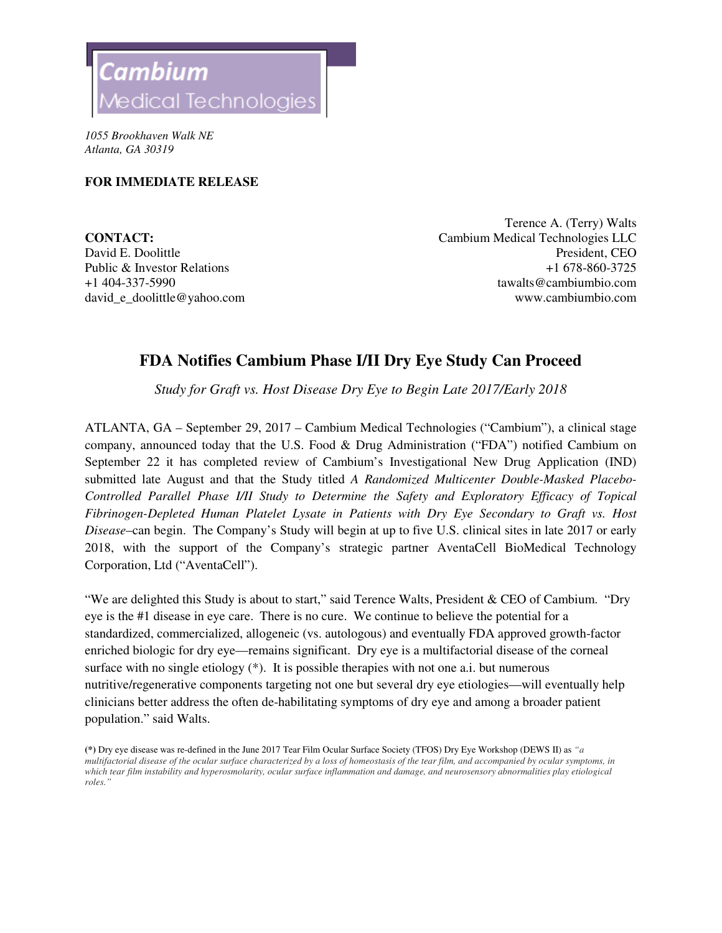

*1055 Brookhaven Walk NE Atlanta, GA 30319* 

## **FOR IMMEDIATE RELEASE**

+1 404-337-5990 david\_e\_doolittle@yahoo.com

Terence A. (Terry) Walts **CONTACT:** Cambium Medical Technologies LLC David E. Doolittle President, CEO Public & Investor Relations  $+1\,678-860-3725$ tawalts@cambiumbio.com www.cambiumbio.com

## **FDA Notifies Cambium Phase I/II Dry Eye Study Can Proceed**

*Study for Graft vs. Host Disease Dry Eye to Begin Late 2017/Early 2018* 

ATLANTA, GA – September 29, 2017 – Cambium Medical Technologies ("Cambium"), a clinical stage company, announced today that the U.S. Food & Drug Administration ("FDA") notified Cambium on September 22 it has completed review of Cambium's Investigational New Drug Application (IND) submitted late August and that the Study titled *A Randomized Multicenter Double-Masked Placebo-Controlled Parallel Phase I/II Study to Determine the Safety and Exploratory Efficacy of Topical Fibrinogen-Depleted Human Platelet Lysate in Patients with Dry Eye Secondary to Graft vs. Host Disease*–can begin. The Company's Study will begin at up to five U.S. clinical sites in late 2017 or early 2018, with the support of the Company's strategic partner AventaCell BioMedical Technology Corporation, Ltd ("AventaCell").

"We are delighted this Study is about to start," said Terence Walts, President & CEO of Cambium. "Dry eye is the #1 disease in eye care. There is no cure. We continue to believe the potential for a standardized, commercialized, allogeneic (vs. autologous) and eventually FDA approved growth-factor enriched biologic for dry eye—remains significant. Dry eye is a multifactorial disease of the corneal surface with no single etiology  $(*)$ . It is possible therapies with not one a.i. but numerous nutritive/regenerative components targeting not one but several dry eye etiologies—will eventually help clinicians better address the often de-habilitating symptoms of dry eye and among a broader patient population." said Walts.

**<sup>(\*)</sup>** Dry eye disease was re-defined in the June 2017 Tear Film Ocular Surface Society (TFOS) Dry Eye Workshop (DEWS II) as *"a multifactorial disease of the ocular surface characterized by a loss of homeostasis of the tear film, and accompanied by ocular symptoms, in which tear film instability and hyperosmolarity, ocular surface inflammation and damage, and neurosensory abnormalities play etiological roles."*